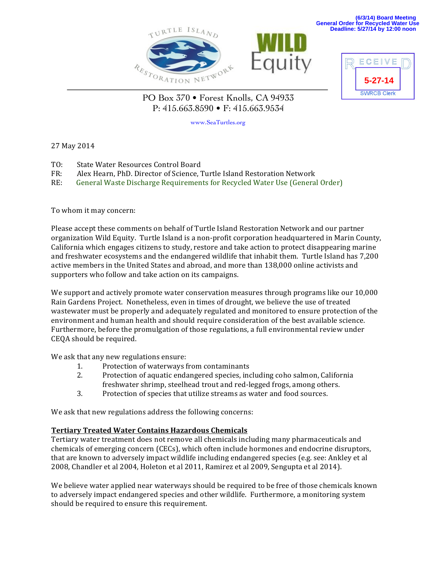





PO Box 370 • Forest Knolls, CA 94933 P: 415.663.8590 • F: 415.663.9534

www.SeaTurtles.org

27 May 2014

- TO: State Water Resources Control Board
- FR: Alex Hearn, PhD. Director of Science, Turtle Island Restoration Network

RE: General Waste Discharge Requirements for Recycled Water Use (General Order)

To whom it may concern:

Please accept these comments on behalf of Turtle Island Restoration Network and our partner organization Wild Equity. Turtle Island is a non-profit corporation headquartered in Marin County, California which engages citizens to study, restore and take action to protect disappearing marine and freshwater ecosystems and the endangered wildlife that inhabit them. Turtle Island has 7,200 active members in the United States and abroad, and more than 138,000 online activists and supporters who follow and take action on its campaigns.

We support and actively promote water conservation measures through programs like our 10,000 Rain Gardens Project. Nonetheless, even in times of drought, we believe the use of treated wastewater must be properly and adequately regulated and monitored to ensure protection of the environment and human health and should require consideration of the best available science. Furthermore, before the promulgation of those regulations, a full environmental review under CEQA should be required.

We ask that any new regulations ensure:

- 1. Protection of waterways from contaminants
- 2. Protection of aquatic endangered species, including coho salmon, California freshwater shrimp, steelhead trout and red-legged frogs, among others.
- 3. Protection of species that utilize streams as water and food sources.

We ask that new regulations address the following concerns:

## **Tertiary Treated Water Contains Hazardous Chemicals**

Tertiary water treatment does not remove all chemicals including many pharmaceuticals and chemicals of emerging concern (CECs), which often include hormones and endocrine disruptors, that are known to adversely impact wildlife including endangered species (e.g. see: Ankley et al 2008, Chandler et al 2004, Holeton et al 2011, Ramirez et al 2009, Sengupta et al 2014).

We believe water applied near waterways should be required to be free of those chemicals known to adversely impact endangered species and other wildlife. Furthermore, a monitoring system should be required to ensure this requirement.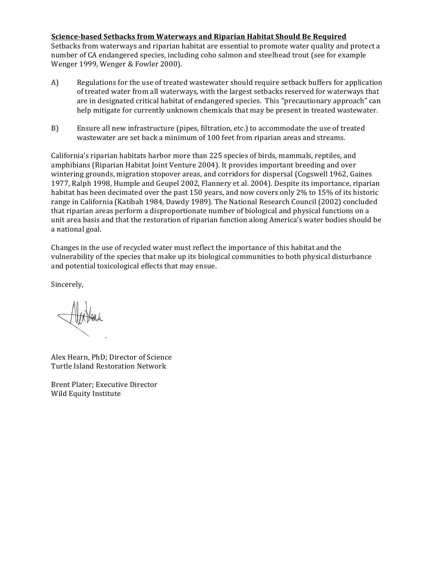**Science-based Setbacks from Waterways and Riparian Habitat Should Be Required**

Setbacks from waterways and riparian habitat are essential to promote water quality and protect a number of CA endangered species, including coho salmon and steelhead trout (see for example Wenger 1999, Wenger & Fowler 2000).

- A) Regulations for the use of treated wastewater should require setback buffers for application of treated water from all waterways, with the largest setbacks reserved for waterways that are in designated critical habitat of endangered species. This "precautionary approach" can help mitigate for currently unknown chemicals that may be present in treated wastewater.
- B) Ensure all new infrastructure (pipes, filtration, etc.) to accommodate the use of treated wastewater are set back a minimum of 100 feet from riparian areas and streams.

California's riparian habitats harbor more than 225 species of birds, mammals, reptiles, and amphibians (Riparian Habitat Joint Venture 2004). It provides important breeding and over wintering grounds, migration stopover areas, and corridors for dispersal (Cogswell 1962, Gaines 1977, Ralph 1998, Humple and Geupel 2002, Flannery et al. 2004). Despite its importance, riparian habitat has been decimated over the past 150 years, and now covers only 2% to 15% of its historic range in California (Katibah 1984, Dawdy 1989). The National Research Council (2002) concluded that riparian areas perform a disproportionate number of biological and physical functions on a unit area basis and that the restoration of riparian function along America's water bodies should be a national goal.

Changes in the use of recycled water must reflect the importance of this habitat and the vulnerability of the species that make up its biological communities to both physical disturbance and potential toxicological effects that may ensue.

Sincerely,

Alex Hearn, PhD; Director of Science Turtle Island Restoration Network

Brent Plater: Executive Director Wild Equity Institute